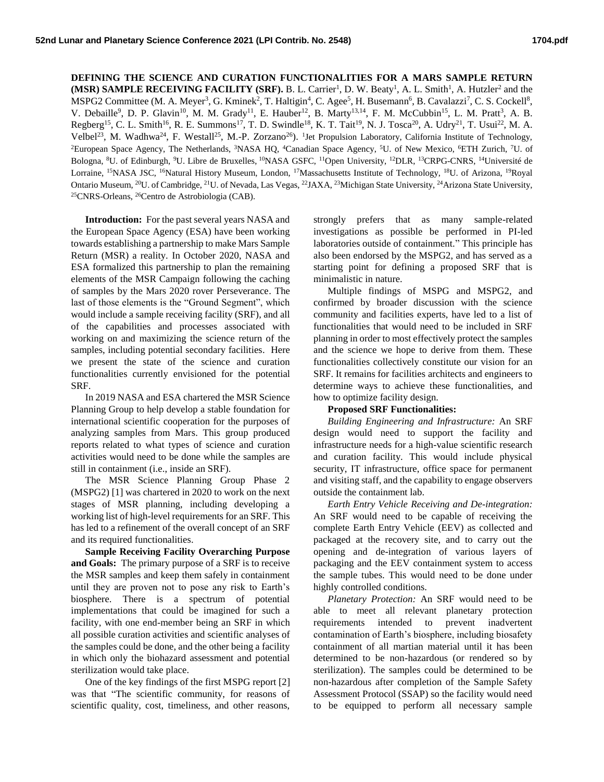**DEFINING THE SCIENCE AND CURATION FUNCTIONALITIES FOR A MARS SAMPLE RETURN (MSR) SAMPLE RECEIVING FACILITY (SRF).** B. L. Carrier<sup>1</sup>, D. W. Beaty<sup>1</sup>, A. L. Smith<sup>1</sup>, A. Hutzler<sup>2</sup> and the MSPG2 Committee (M. A. Meyer<sup>3</sup>, G. Kminek<sup>2</sup>, T. Haltigin<sup>4</sup>, C. Agee<sup>5</sup>, H. Busemann<sup>6</sup>, B. Cavalazzi<sup>7</sup>, C. S. Cockell<sup>8</sup>, V. Debaille<sup>9</sup>, D. P. Glavin<sup>10</sup>, M. M. Grady<sup>11</sup>, E. Hauber<sup>12</sup>, B. Marty<sup>13,14</sup>, F. M. McCubbin<sup>15</sup>, L. M. Pratt<sup>3</sup>, A. B. Regberg<sup>15</sup>, C. L. Smith<sup>16</sup>, R. E. Summons<sup>17</sup>, T. D. Swindle<sup>18</sup>, K. T. Tait<sup>19</sup>, N. J. Tosca<sup>20</sup>, A. Udry<sup>21</sup>, T. Usui<sup>22</sup>, M. A. Velbel<sup>23</sup>, M. Wadhwa<sup>24</sup>, F. Westall<sup>25</sup>, M.-P. Zorzano<sup>26</sup>). <sup>1</sup>Jet Propulsion Laboratory, California Institute of Technology, <sup>2</sup>European Space Agency, The Netherlands, <sup>3</sup>NASA HQ, <sup>4</sup>Canadian Space Agency, <sup>5</sup>U. of New Mexico, <sup>6</sup>ETH Zurich, <sup>7</sup>U. of Bologna, <sup>8</sup>U. of Edinburgh, <sup>9</sup>U. Libre de Bruxelles, <sup>10</sup>NASA GSFC, <sup>11</sup>Open University, <sup>12</sup>DLR, <sup>13</sup>CRPG-CNRS, <sup>14</sup>Université de Lorraine, <sup>15</sup>NASA JSC, <sup>16</sup>Natural History Museum, London, <sup>17</sup>Massachusetts Institute of Technology, <sup>18</sup>U. of Arizona, <sup>19</sup>Royal Ontario Museum, <sup>20</sup>U. of Cambridge, <sup>21</sup>U. of Nevada, Las Vegas, <sup>22</sup>JAXA, <sup>23</sup>Michigan State University, <sup>24</sup>Arizona State University, <sup>25</sup>CNRS-Orleans, <sup>26</sup>Centro de Astrobiologia (CAB).

**Introduction:** For the past several years NASA and the European Space Agency (ESA) have been working towards establishing a partnership to make Mars Sample Return (MSR) a reality. In October 2020, NASA and ESA formalized this partnership to plan the remaining elements of the MSR Campaign following the caching of samples by the Mars 2020 rover Perseverance. The last of those elements is the "Ground Segment", which would include a sample receiving facility (SRF), and all of the capabilities and processes associated with working on and maximizing the science return of the samples, including potential secondary facilities. Here we present the state of the science and curation functionalities currently envisioned for the potential SRF.

In 2019 NASA and ESA chartered the MSR Science Planning Group to help develop a stable foundation for international scientific cooperation for the purposes of analyzing samples from Mars. This group produced reports related to what types of science and curation activities would need to be done while the samples are still in containment (i.e., inside an SRF).

The MSR Science Planning Group Phase 2 (MSPG2) [1] was chartered in 2020 to work on the next stages of MSR planning, including developing a working list of high-level requirements for an SRF. This has led to a refinement of the overall concept of an SRF and its required functionalities.

**Sample Receiving Facility Overarching Purpose and Goals:** The primary purpose of a SRF is to receive the MSR samples and keep them safely in containment until they are proven not to pose any risk to Earth's biosphere. There is a spectrum of potential implementations that could be imagined for such a facility, with one end-member being an SRF in which all possible curation activities and scientific analyses of the samples could be done, and the other being a facility in which only the biohazard assessment and potential sterilization would take place.

One of the key findings of the first MSPG report [2] was that "The scientific community, for reasons of scientific quality, cost, timeliness, and other reasons,

strongly prefers that as many sample-related investigations as possible be performed in PI-led laboratories outside of containment." This principle has also been endorsed by the MSPG2, and has served as a starting point for defining a proposed SRF that is minimalistic in nature.

Multiple findings of MSPG and MSPG2, and confirmed by broader discussion with the science community and facilities experts, have led to a list of functionalities that would need to be included in SRF planning in order to most effectively protect the samples and the science we hope to derive from them. These functionalities collectively constitute our vision for an SRF. It remains for facilities architects and engineers to determine ways to achieve these functionalities, and how to optimize facility design.

## **Proposed SRF Functionalities:**

*Building Engineering and Infrastructure:* An SRF design would need to support the facility and infrastructure needs for a high-value scientific research and curation facility. This would include physical security, IT infrastructure, office space for permanent and visiting staff, and the capability to engage observers outside the containment lab.

*Earth Entry Vehicle Receiving and De-integration:* An SRF would need to be capable of receiving the complete Earth Entry Vehicle (EEV) as collected and packaged at the recovery site, and to carry out the opening and de-integration of various layers of packaging and the EEV containment system to access the sample tubes. This would need to be done under highly controlled conditions.

*Planetary Protection:* An SRF would need to be able to meet all relevant planetary protection requirements intended to prevent inadvertent contamination of Earth's biosphere, including biosafety containment of all martian material until it has been determined to be non-hazardous (or rendered so by sterilization). The samples could be determined to be non-hazardous after completion of the Sample Safety Assessment Protocol (SSAP) so the facility would need to be equipped to perform all necessary sample